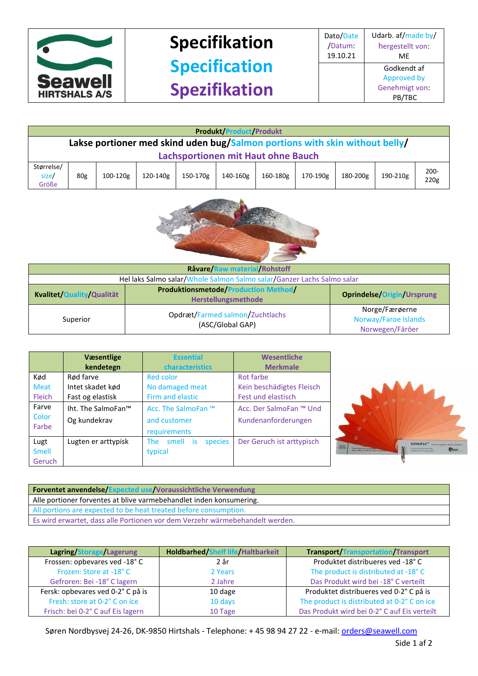

## **Specifikation Specification Spezifikation**

|                                                                             | <b>Produkt/Product/Produkt</b>            |          |          |          |          |          |          |          |          |                 |
|-----------------------------------------------------------------------------|-------------------------------------------|----------|----------|----------|----------|----------|----------|----------|----------|-----------------|
| Lakse portioner med skind uden bug/Salmon portions with skin without belly/ |                                           |          |          |          |          |          |          |          |          |                 |
|                                                                             | <b>Lachsportionen mit Haut ohne Bauch</b> |          |          |          |          |          |          |          |          |                 |
| Størrelse/<br>size/<br>Größe                                                | 80 <sub>g</sub>                           | 100-120g | 120-140g | 150-170g | 140-160g | 160-180g | 170-190g | 180-200g | 190-210g | $200 -$<br>220g |



| Råvare/Raw material/Rohstoff                                           |                                                                    |                                                           |  |  |
|------------------------------------------------------------------------|--------------------------------------------------------------------|-----------------------------------------------------------|--|--|
| Hel laks Salmo salar/Whole Salmon Salmo salar/Ganzer Lachs Salmo salar |                                                                    |                                                           |  |  |
| Kvalitet/Quality/Qualität                                              | <b>Produktionsmetode/Production Method/</b><br>Herstellungsmethode | <b>Oprindelse/Origin/Ursprung</b>                         |  |  |
| Superior                                                               | Opdræt/Farmed salmon/Zuchtlachs<br>(ASC/Global GAP)                | Norge/Færøerne<br>Norway/Faroe Islands<br>Norwegen/Färöer |  |  |

|               | <b>Væsentlige</b><br>kendetegn | <b>Essential</b><br><b>characteristics</b> | Wesentliche<br><b>Merkmale</b> |
|---------------|--------------------------------|--------------------------------------------|--------------------------------|
| Kød           | Rød farve                      | Red color                                  | Rot farbe                      |
| <b>Meat</b>   | Intet skadet kød               | No damaged meat                            | Kein beschädigtes Fleisch      |
| <b>Fleich</b> | Fast og elastisk               | Firm and elastic                           | Fest und elastisch             |
| Farve         | Iht. The SalmoFan™             | Acc. The SalmoFan ™                        | Acc. Der SalmoFan ™ Und        |
| Color         | Og kundekrav                   | and customer                               | Kundenanforderungen            |
| Farbe         |                                | requirements                               |                                |
| Lugt          | Lugten er arttypisk            | smell<br>The<br>species<br>is.             | Der Geruch ist arttypisch      |
| <b>Smell</b>  |                                | typical                                    |                                |
| <b>Geruch</b> |                                |                                            |                                |



| <b>Forventet anvendelse/Expected use/Voraussichtliche Verwendung</b>         |
|------------------------------------------------------------------------------|
| Alle portioner forventes at blive varmebehandlet inden konsumering.          |
| All portions are expected to be heat treated before consumption.             |
| Es wird erwartet, dass alle Portionen vor dem Verzehr wärmebehandelt werden. |

| Lagring/Storage/Lagerung          | <b>Holdbarhed/Shelf life/Haltbarkeit</b> | <b>Transport/Transportation/Transport</b>   |
|-----------------------------------|------------------------------------------|---------------------------------------------|
| Frossen: opbevares ved -18°C      | 2 år                                     | Produktet distribueres ved -18°C            |
| Frozen: Store at -18°C            | 2 Years                                  | The product is distributed at -18°C         |
| Gefroren: Bei -18° C lagern       | 2 Jahre                                  | Das Produkt wird bei -18° C verteilt        |
| Fersk: opbevares ved 0-2° C på is | 10 dage                                  | Produktet distribueres ved 0-2°C på is      |
| Fresh: store at 0-2° C on ice     | 10 days                                  | The product is distributed at 0-2°C on ice  |
| Frisch: bei 0-2° C auf Eis lagern | 10 Tage                                  | Das Produkt wird bei 0-2°C auf Eis verteilt |

Søren Nordbysvej 24-26, DK-9850 Hirtshals - Telephone: + 45 98 94 27 22 - e-mail[: orders@seawell.com](mailto:orders@seawell.com)